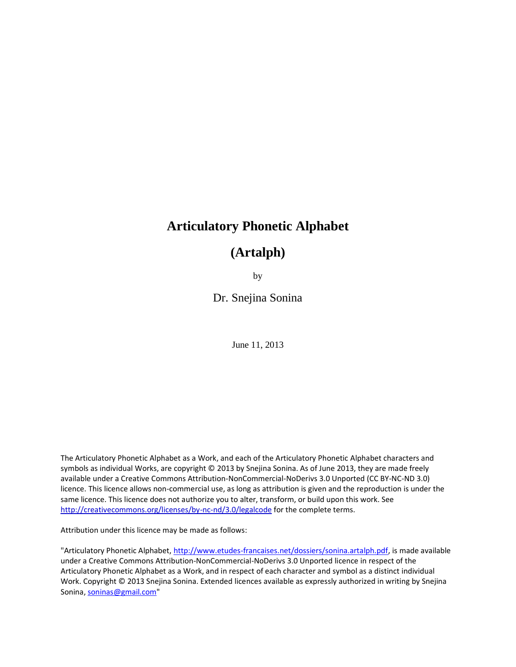# **Articulatory Phonetic Alphabet**

# **(Artalph)**

by

Dr. Snejina Sonina

June 11, 2013

The Articulatory Phonetic Alphabet as a Work, and each of the Articulatory Phonetic Alphabet characters and symbols as individual Works, are copyright © 2013 by Snejina Sonina. As of June 2013, they are made freely available under a Creative Commons Attribution-NonCommercial-NoDerivs 3.0 Unported (CC BY-NC-ND 3.0) licence. This licence allows non-commercial use, as long as attribution is given and the reproduction is under the same licence. This licence does not authorize you to alter, transform, or build upon this work. See <http://creativecommons.org/licenses/by-nc-nd/3.0/legalcode> for the complete terms.

Attribution under this licence may be made as follows:

"Articulatory Phonetic Alphabet, [http://www.etudes-francaises.net/dossiers/sonina.artalph.pdf,](http://www.etudes-francaises.net/dossiers/sonina.artalph.pdf) is made available under a Creative Commons Attribution-NonCommercial-NoDerivs 3.0 Unported licence in respect of the Articulatory Phonetic Alphabet as a Work, and in respect of each character and symbol as a distinct individual Work. Copyright © 2013 Snejina Sonina. Extended licences available as expressly authorized in writing by Snejina Sonina, [soninas@gmail.com"](mailto:soninas@gmail.com)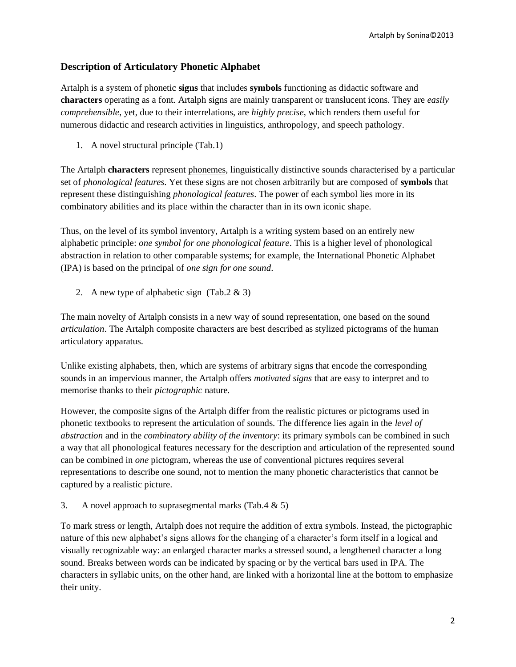#### **Description of Articulatory Phonetic Alphabet**

Artalph is a system of phonetic **signs** that includes **symbols** functioning as didactic software and **characters** operating as a font. Artalph signs are mainly transparent or translucent icons. They are *easily comprehensible*, yet, due to their interrelations, are *highly precise*, which renders them useful for numerous didactic and research activities in linguistics, anthropology, and speech pathology.

1. A novel structural principle (Tab.1)

The Artalph **characters** represent phonemes, linguistically distinctive sounds characterised by a particular set of *phonological features*. Yet these signs are not chosen arbitrarily but are composed of **symbols** that represent these distinguishing *phonological features*. The power of each symbol lies more in its combinatory abilities and its place within the character than in its own iconic shape.

Thus, on the level of its symbol inventory, Artalph is a writing system based on an entirely new alphabetic principle: *one symbol for one phonological feature*. This is a higher level of phonological abstraction in relation to other comparable systems; for example, the International Phonetic Alphabet (IPA) is based on the principal of *one sign for one sound*.

2. A new type of alphabetic sign (Tab.2 & 3)

The main novelty of Artalph consists in a new way of sound representation, one based on the sound *articulation*. The Artalph composite characters are best described as stylized pictograms of the human articulatory apparatus.

Unlike existing alphabets, then, which are systems of arbitrary signs that encode the corresponding sounds in an impervious manner, the Artalph offers *motivated signs* that are easy to interpret and to memorise thanks to their *pictographic* nature.

However, the composite signs of the Artalph differ from the realistic pictures or pictograms used in phonetic textbooks to represent the articulation of sounds. The difference lies again in the *level of abstraction* and in the *combinatory ability of the inventory*: its primary symbols can be combined in such a way that all phonological features necessary for the description and articulation of the represented sound can be combined in *one* pictogram, whereas the use of conventional pictures requires several representations to describe one sound, not to mention the many phonetic characteristics that cannot be captured by a realistic picture.

3. A novel approach to suprasegmental marks (Tab.4  $\&$  5)

To mark stress or length, Artalph does not require the addition of extra symbols. Instead, the pictographic nature of this new alphabet's signs allows for the changing of a character's form itself in a logical and visually recognizable way: an enlarged character marks a stressed sound, a lengthened character a long sound. Breaks between words can be indicated by spacing or by the vertical bars used in IPA. The characters in syllabic units, on the other hand, are linked with a horizontal line at the bottom to emphasize their unity.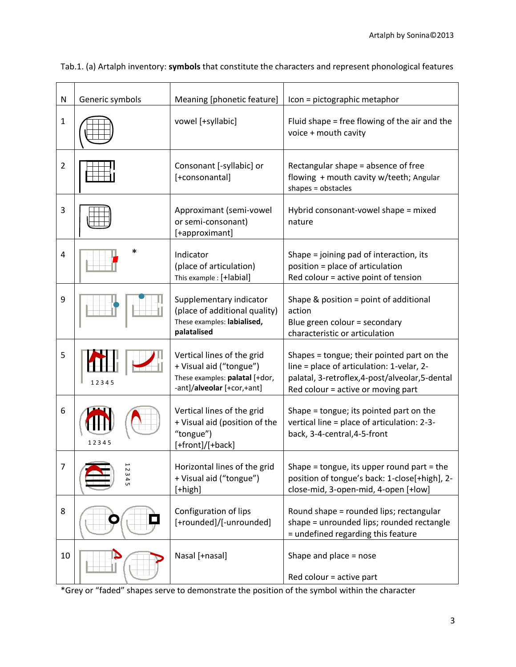| N              | Generic symbols | Meaning [phonetic feature]                                                                                            | Icon = pictographic metaphor                                                                                                                                                     |
|----------------|-----------------|-----------------------------------------------------------------------------------------------------------------------|----------------------------------------------------------------------------------------------------------------------------------------------------------------------------------|
| $\mathbf{1}$   |                 | vowel [+syllabic]                                                                                                     | Fluid shape = free flowing of the air and the<br>voice + mouth cavity                                                                                                            |
| $\overline{2}$ |                 | Consonant [-syllabic] or<br>[+consonantal]                                                                            | Rectangular shape = absence of free<br>flowing + mouth cavity w/teeth; Angular<br>shapes = obstacles                                                                             |
| 3              |                 | Approximant (semi-vowel<br>or semi-consonant)<br>[+approximant]                                                       | Hybrid consonant-vowel shape = mixed<br>nature                                                                                                                                   |
| 4              | *               | Indicator<br>(place of articulation)<br>This example : [+labial]                                                      | Shape = joining pad of interaction, its<br>position = place of articulation<br>Red colour = active point of tension                                                              |
| 9              |                 | Supplementary indicator<br>(place of additional quality)<br>These examples: labialised,<br>palatalised                | Shape & position = point of additional<br>action<br>Blue green colour = secondary<br>characteristic or articulation                                                              |
| 5              | 12345           | Vertical lines of the grid<br>+ Visual aid ("tongue")<br>These examples: palatal [+dor,<br>-ant]/alveolar [+cor,+ant] | Shapes = tongue; their pointed part on the<br>line = place of articulation: 1-velar, 2-<br>palatal, 3-retroflex, 4-post/alveolar, 5-dental<br>Red colour = active or moving part |
| 6              | 12345           | Vertical lines of the grid<br>+ Visual aid (position of the<br>"tongue")<br>[+front]/[+back]                          | Shape = tongue; its pointed part on the<br>vertical line = place of articulation: 2-3-<br>back, 3-4-central, 4-5-front                                                           |
| 7              | 23<br>4<br>Gп   | Horizontal lines of the grid<br>+ Visual aid ("tongue")<br>$[+high]$                                                  | Shape = tongue, its upper round part = the<br>position of tongue's back: 1-close[+high], 2-<br>close-mid, 3-open-mid, 4-open [+low]                                              |
| 8              |                 | Configuration of lips<br>[+rounded]/[-unrounded]                                                                      | Round shape = rounded lips; rectangular<br>shape = unrounded lips; rounded rectangle<br>= undefined regarding this feature                                                       |
| 10             |                 | Nasal [+nasal]                                                                                                        | Shape and place = nose<br>Red colour = active part                                                                                                                               |

Tab.1. (a) Artalph inventory: **symbols** that constitute the characters and represent phonological features

\*Grey or "faded" shapes serve to demonstrate the position of the symbol within the character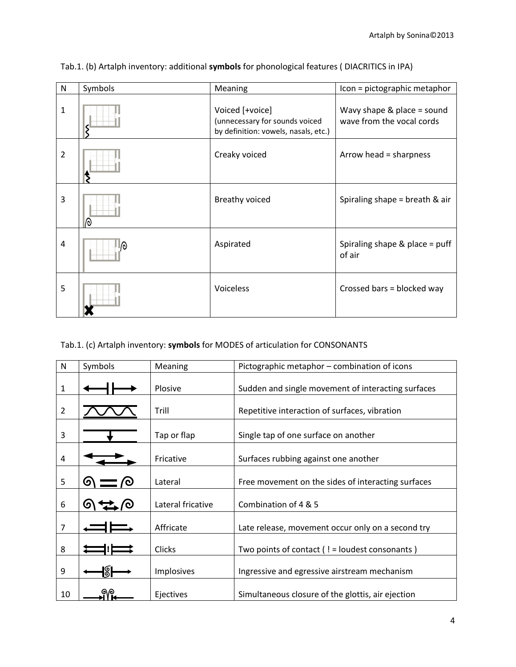| N | Symbols | Meaning                                                                                   | Icon = pictographic metaphor                              |
|---|---------|-------------------------------------------------------------------------------------------|-----------------------------------------------------------|
| 1 |         | Voiced [+voice]<br>(unnecessary for sounds voiced<br>by definition: vowels, nasals, etc.) | Wavy shape $& place = sound$<br>wave from the vocal cords |
| 2 |         | Creaky voiced                                                                             | Arrow head = sharpness                                    |
| 3 | ᠗       | <b>Breathy voiced</b>                                                                     | Spiraling shape = breath $&$ air                          |
| 4 | Ιо)     | Aspirated                                                                                 | Spiraling shape $&$ place = puff<br>of air                |
| 5 |         | Voiceless                                                                                 | Crossed bars = blocked way                                |

Tab.1. (b) Artalph inventory: additional **symbols** for phonological features ( DIACRITICS in IPA)

#### Tab.1. (c) Artalph inventory: **symbols** for MODES of articulation for CONSONANTS

| N              | Symbols  | Meaning           | Pictographic metaphor – combination of icons         |
|----------------|----------|-------------------|------------------------------------------------------|
| 1              |          | Plosive           | Sudden and single movement of interacting surfaces   |
| $\overline{2}$ |          | Trill             | Repetitive interaction of surfaces, vibration        |
| 3              |          | Tap or flap       | Single tap of one surface on another                 |
| 4              |          | Fricative         | Surfaces rubbing against one another                 |
| 5              | <u>ଚ</u> | Lateral           | Free movement on the sides of interacting surfaces   |
| 6              | ဖ        | Lateral fricative | Combination of 4 & 5                                 |
| 7              |          | Affricate         | Late release, movement occur only on a second try    |
| 8              |          | <b>Clicks</b>     | Two points of contact $($ ! = loudest consonants $)$ |
| 9              |          | Implosives        | Ingressive and egressive airstream mechanism         |
| 10             |          | Ejectives         | Simultaneous closure of the glottis, air ejection    |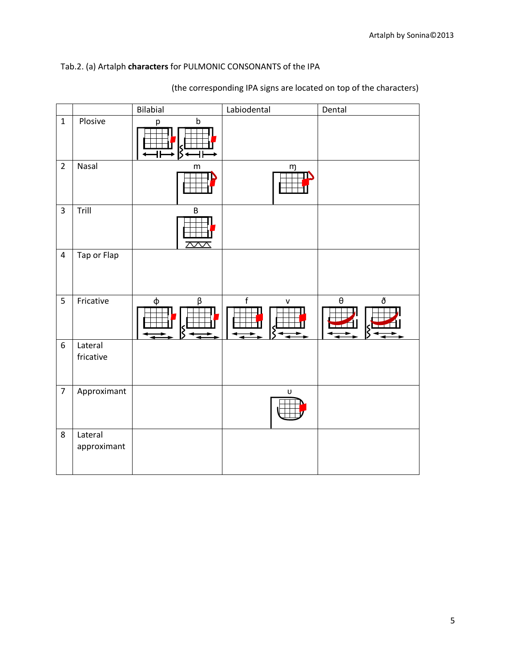### Tab.2. (a) Artalph **characters** for PULMONIC CONSONANTS of the IPA

|                         |                        | Bilabial     | Labiodental                                                                                                | Dental                            |
|-------------------------|------------------------|--------------|------------------------------------------------------------------------------------------------------------|-----------------------------------|
| $\mathbf{1}$            | Plosive                | $\sf b$<br>p |                                                                                                            |                                   |
| $\overline{2}$          | Nasal                  | ${\sf m}$    | m                                                                                                          |                                   |
| $\overline{3}$          | Trill                  | B<br>Ş       |                                                                                                            |                                   |
| $\overline{\mathbf{4}}$ | Tap or Flap            |              |                                                                                                            |                                   |
| 5                       | Fricative              | $\phi$<br>β  | $\mathsf f$<br>${\sf v}$                                                                                   | $\boldsymbol{\theta}$<br>ð<br>- - |
| $\boldsymbol{6}$        | Lateral<br>fricative   |              |                                                                                                            |                                   |
| $\overline{7}$          | Approximant            |              | $\mathsf{U}% _{T}=\mathsf{U}_{T}\!\left( a,b\right) ,\ \mathsf{U}_{T}=\mathsf{U}_{T}\!\left( a,b\right) ,$ |                                   |
| 8                       | Lateral<br>approximant |              |                                                                                                            |                                   |

(the corresponding IPA signs are located on top of the characters)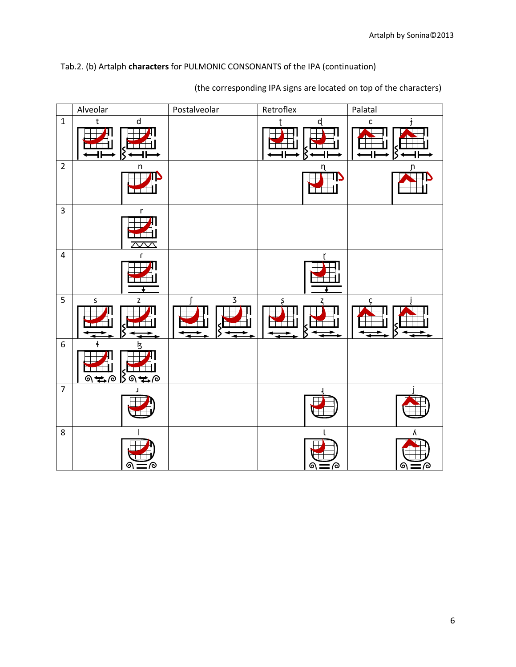#### Tab.2. (b) Artalph **characters** for PULMONIC CONSONANTS of the IPA (continuation)



(the corresponding IPA signs are located on top of the characters)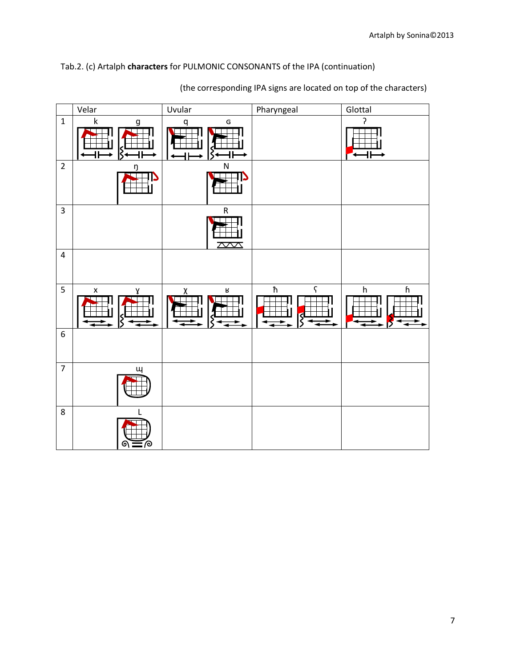## Tab.2. (c) Artalph **characters** for PULMONIC CONSONANTS of the IPA (continuation)

|                  | Velar                   | Uvular                         | Pharyngeal             | Glottal                                                |
|------------------|-------------------------|--------------------------------|------------------------|--------------------------------------------------------|
| $\mathbf{1}$     | $\mathsf k$<br>g        | ${\mathsf G}$<br>q             |                        | ς                                                      |
| $\overline{2}$   | ŋ                       | ${\sf N}$                      |                        |                                                        |
| $\overline{3}$   |                         | ${\sf R}$<br>$\overline{\sim}$ |                        |                                                        |
| $\overline{4}$   |                         |                                |                        |                                                        |
| $5\phantom{a}$   | $\pmb{\mathsf{x}}$<br>γ | ${\sf R}$<br>$\chi$            | $\hbar$<br>$\varsigma$ | $\boldsymbol{\mathsf{h}}$<br>$\boldsymbol{\mathsf{h}}$ |
| $\boldsymbol{6}$ |                         |                                |                        |                                                        |
| $\overline{7}$   | ш                       |                                |                        |                                                        |
| $\,8\,$          | L<br>70<br>ର :          |                                |                        |                                                        |

(the corresponding IPA signs are located on top of the characters)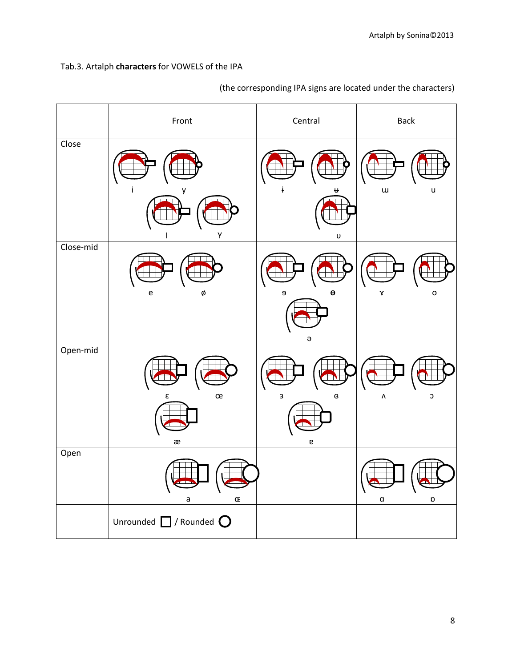## Tab.3. Artalph **characters** for VOWELS of the IPA

|           | Front                                 | Central                                                               | <b>Back</b>                   |
|-----------|---------------------------------------|-----------------------------------------------------------------------|-------------------------------|
| Close     |                                       |                                                                       | $\mathsf{u}$<br>$\sf u$       |
| Close-mid | γ<br>ø<br>е                           | υ<br>$\overline{9}$<br>Θ                                              | o<br>γ                        |
| Open-mid  | œ<br>ε                                | $\Theta$<br>3<br>$\mathsf g$                                          | ٨<br>С                        |
| Open      | æ<br>$\mathsf a$<br>Œ                 | $\mathsf{e}% _{t}\left( t\right) \equiv\mathsf{e}_{t}\left( t\right)$ | $\mathfrak a$<br>$\mathsf{D}$ |
|           | Unrounded $\Box$ / Rounded $\bigcirc$ |                                                                       |                               |

(the corresponding IPA signs are located under the characters)